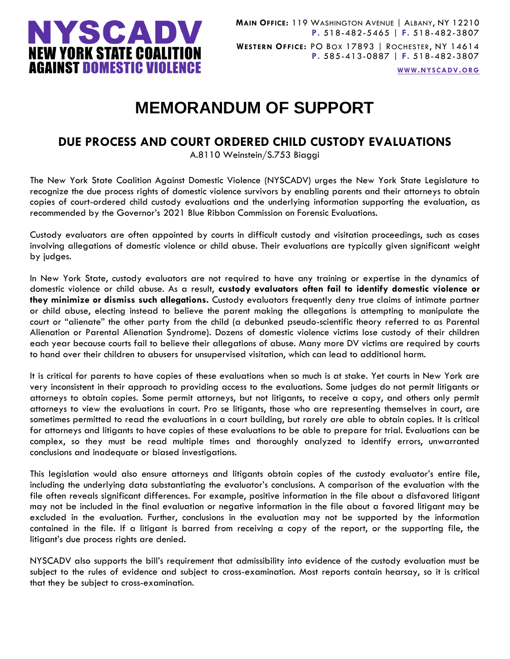

**WWW.[NYSCADV](file://///server/data/Official%20Documents/NYSCADV%20Logo%20&%20Branding/2015%20Letterhead/www.nyscadv.org).ORG**

# **MEMORANDUM OF SUPPORT**

## **DUE PROCESS AND COURT ORDERED CHILD CUSTODY EVALUATIONS**

A.8110 Weinstein/S.753 Biaggi

The New York State Coalition Against Domestic Violence (NYSCADV) urges the New York State Legislature to recognize the due process rights of domestic violence survivors by enabling parents and their attorneys to obtain copies of court-ordered child custody evaluations and the underlying information supporting the evaluation, as recommended by the Governor's 2021 Blue Ribbon Commission on Forensic Evaluations.

Custody evaluators are often appointed by courts in difficult custody and visitation proceedings, such as cases involving allegations of domestic violence or child abuse. Their evaluations are typically given significant weight by judges.

In New York State, custody evaluators are not required to have any training or expertise in the dynamics of domestic violence or child abuse. As a result, **custody evaluators often fail to identify domestic violence or they minimize or dismiss such allegations.** Custody evaluators frequently deny true claims of intimate partner or child abuse, electing instead to believe the parent making the allegations is attempting to manipulate the court or "alienate" the other party from the child (a debunked pseudo-scientific theory referred to as Parental Alienation or Parental Alienation Syndrome). Dozens of domestic violence victims lose custody of their children each year because courts fail to believe their allegations of abuse. Many more DV victims are required by courts to hand over their children to abusers for unsupervised visitation, which can lead to additional harm.

It is critical for parents to have copies of these evaluations when so much is at stake. Yet courts in New York are very inconsistent in their approach to providing access to the evaluations. Some judges do not permit litigants or attorneys to obtain copies. Some permit attorneys, but not litigants, to receive a copy, and others only permit attorneys to view the evaluations in court. Pro se litigants, those who are representing themselves in court, are sometimes permitted to read the evaluations in a court building, but rarely are able to obtain copies. It is critical for attorneys and litigants to have copies of these evaluations to be able to prepare for trial. Evaluations can be complex, so they must be read multiple times and thoroughly analyzed to identify errors, unwarranted conclusions and inadequate or biased investigations.

This legislation would also ensure attorneys and litigants obtain copies of the custody evaluator's entire file, including the underlying data substantiating the evaluator's conclusions. A comparison of the evaluation with the file often reveals significant differences. For example, positive information in the file about a disfavored litigant may not be included in the final evaluation or negative information in the file about a favored litigant may be excluded in the evaluation. Further, conclusions in the evaluation may not be supported by the information contained in the file. If a litigant is barred from receiving a copy of the report, or the supporting file, the litigant's due process rights are denied.

NYSCADV also supports the bill's requirement that admissibility into evidence of the custody evaluation must be subject to the rules of evidence and subject to cross-examination. Most reports contain hearsay, so it is critical that they be subject to cross-examination.